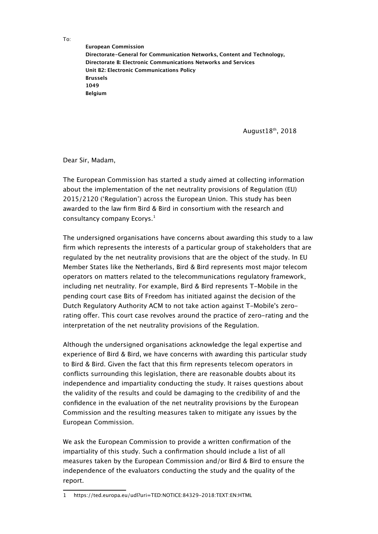To:

**European Commission Directorate-General for Communication Networks, Content and Technology, Directorate B: Electronic Communications Networks and Services Unit B2: Electronic Communications Policy Brussels 1049 Belgium**

August18th, 2018

Dear Sir, Madam,

The European Commission has started a study aimed at collecting information about the implementation of the net neutrality provisions of Regulation (EU) 2015/2120 ('Regulation') across the European Union. This study has been awarded to the law frm Bird & Bird in consortium with the research and consultancy company Ecorys. $<sup>1</sup>$  $<sup>1</sup>$  $<sup>1</sup>$ </sup>

The undersigned organisations have concerns about awarding this study to a law firm which represents the interests of a particular group of stakeholders that are regulated by the net neutrality provisions that are the object of the study. In EU Member States like the Netherlands, Bird & Bird represents most major telecom operators on matters related to the telecommunications regulatory framework, including net neutrality. For example, Bird & Bird represents T-Mobile in the pending court case Bits of Freedom has initiated against the decision of the Dutch Regulatory Authority ACM to not take action against T-Mobile's zerorating ofer. This court case revolves around the practice of zero-rating and the interpretation of the net neutrality provisions of the Regulation.

Although the undersigned organisations acknowledge the legal expertise and experience of Bird & Bird, we have concerns with awarding this particular study to Bird & Bird. Given the fact that this frm represents telecom operators in conficts surrounding this legislation, there are reasonable doubts about its independence and impartiality conducting the study. It raises questions about the validity of the results and could be damaging to the credibility of and the confdence in the evaluation of the net neutrality provisions by the European Commission and the resulting measures taken to mitigate any issues by the European Commission.

We ask the European Commission to provide a written confirmation of the impartiality of this study. Such a confrmation should include a list of all measures taken by the European Commission and/or Bird & Bird to ensure the independence of the evaluators conducting the study and the quality of the report.

<span id="page-0-0"></span><sup>1</sup> https://ted.europa.eu/udl?uri=TED:NOTICE:84329-2018:TEXT:EN:HTML